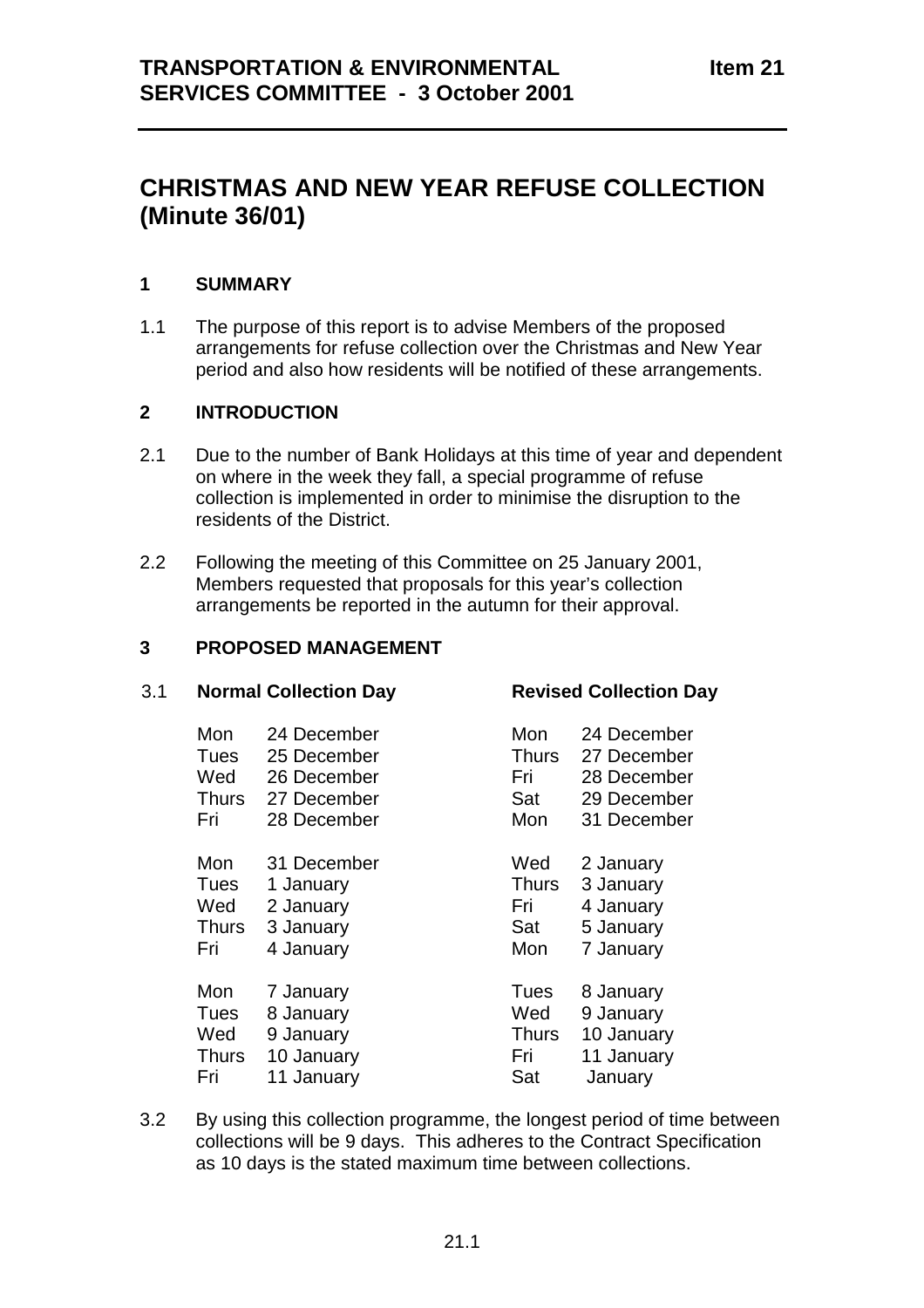# **CHRISTMAS AND NEW YEAR REFUSE COLLECTION (Minute 36/01)**

# **1 SUMMARY**

1.1 The purpose of this report is to advise Members of the proposed arrangements for refuse collection over the Christmas and New Year period and also how residents will be notified of these arrangements.

#### **2 INTRODUCTION**

- 2.1 Due to the number of Bank Holidays at this time of year and dependent on where in the week they fall, a special programme of refuse collection is implemented in order to minimise the disruption to the residents of the District.
- 2.2 Following the meeting of this Committee on 25 January 2001, Members requested that proposals for this year's collection arrangements be reported in the autumn for their approval.

# **3 PROPOSED MANAGEMENT**

#### 3.1 **Normal Collection Day Revised Collection Day**

| Mon          | 24 December | Mon          | 24 December |
|--------------|-------------|--------------|-------------|
| Tues         | 25 December | <b>Thurs</b> | 27 December |
| Wed          | 26 December | Fri          | 28 December |
| <b>Thurs</b> | 27 December | Sat          | 29 December |
| Fri          | 28 December | Mon          | 31 December |
| Mon          | 31 December | Wed          | 2 January   |
| Tues         | 1 January   | <b>Thurs</b> | 3 January   |
| Wed          | 2 January   | Fri          | 4 January   |
| <b>Thurs</b> | 3 January   | Sat          | 5 January   |
| Fri          | 4 January   | Mon          | 7 January   |
| Mon          | 7 January   | Tues         | 8 January   |
| Tues         | 8 January   | Wed          | 9 January   |
| Wed          | 9 January   | <b>Thurs</b> | 10 January  |
| <b>Thurs</b> | 10 January  | Fri          | 11 January  |
| Fri          | 11 January  | Sat          | January     |

3.2 By using this collection programme, the longest period of time between collections will be 9 days. This adheres to the Contract Specification as 10 days is the stated maximum time between collections.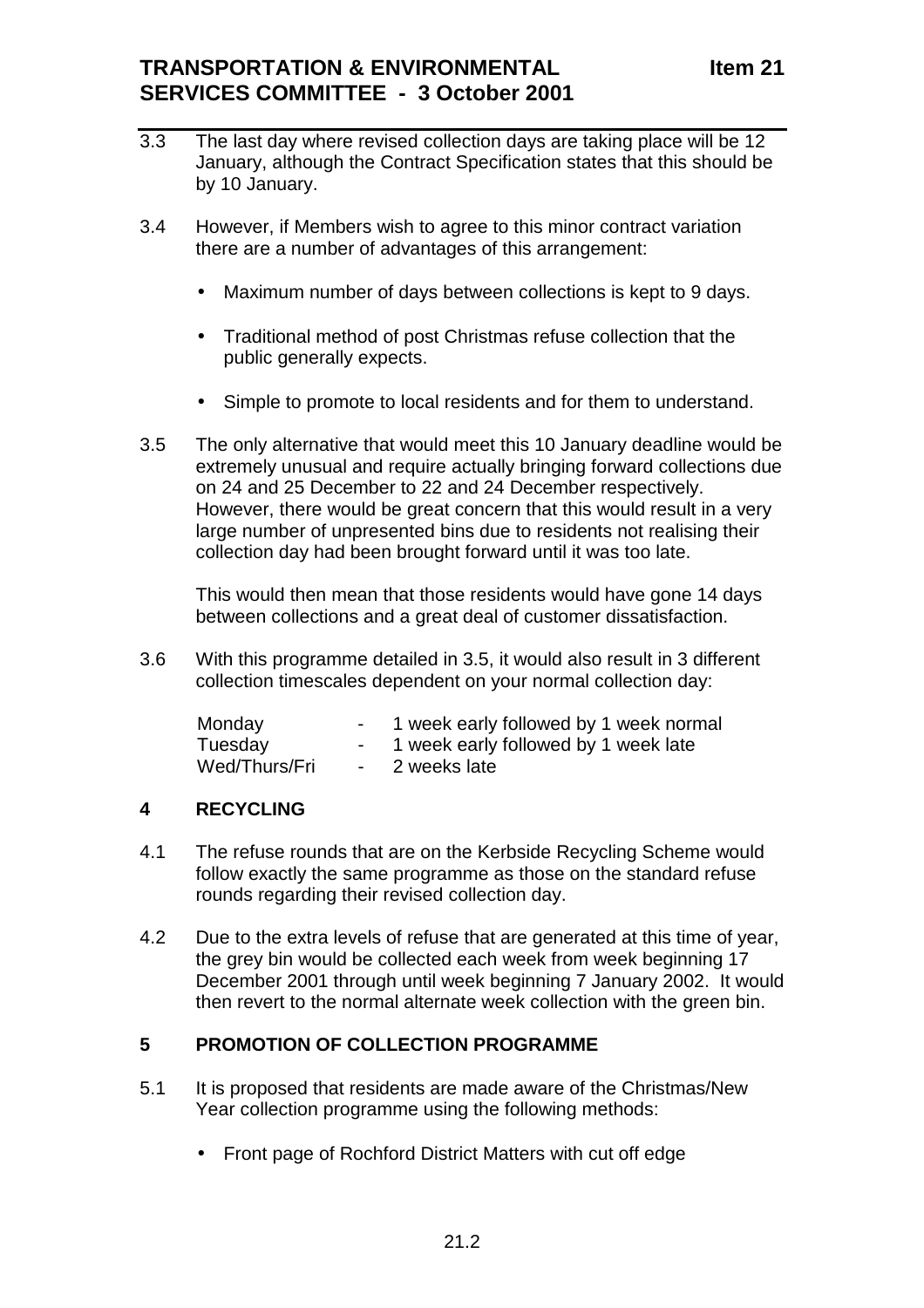- 3.3 The last day where revised collection days are taking place will be 12 January, although the Contract Specification states that this should be by 10 January.
- 3.4 However, if Members wish to agree to this minor contract variation there are a number of advantages of this arrangement:
	- Maximum number of days between collections is kept to 9 days.
	- Traditional method of post Christmas refuse collection that the public generally expects.
	- Simple to promote to local residents and for them to understand.
- 3.5 The only alternative that would meet this 10 January deadline would be extremely unusual and require actually bringing forward collections due on 24 and 25 December to 22 and 24 December respectively. However, there would be great concern that this would result in a very large number of unpresented bins due to residents not realising their collection day had been brought forward until it was too late.

This would then mean that those residents would have gone 14 days between collections and a great deal of customer dissatisfaction.

3.6 With this programme detailed in 3.5, it would also result in 3 different collection timescales dependent on your normal collection day:

| Monday        |                  | 1 week early followed by 1 week normal |
|---------------|------------------|----------------------------------------|
| Tuesday       |                  | 1 week early followed by 1 week late   |
| Wed/Thurs/Fri | $\sim$ 100 $\mu$ | 2 weeks late                           |

# **4 RECYCLING**

- 4.1 The refuse rounds that are on the Kerbside Recycling Scheme would follow exactly the same programme as those on the standard refuse rounds regarding their revised collection day.
- 4.2 Due to the extra levels of refuse that are generated at this time of year, the grey bin would be collected each week from week beginning 17 December 2001 through until week beginning 7 January 2002. It would then revert to the normal alternate week collection with the green bin.

# **5 PROMOTION OF COLLECTION PROGRAMME**

- 5.1 It is proposed that residents are made aware of the Christmas/New Year collection programme using the following methods:
	- Front page of Rochford District Matters with cut off edge